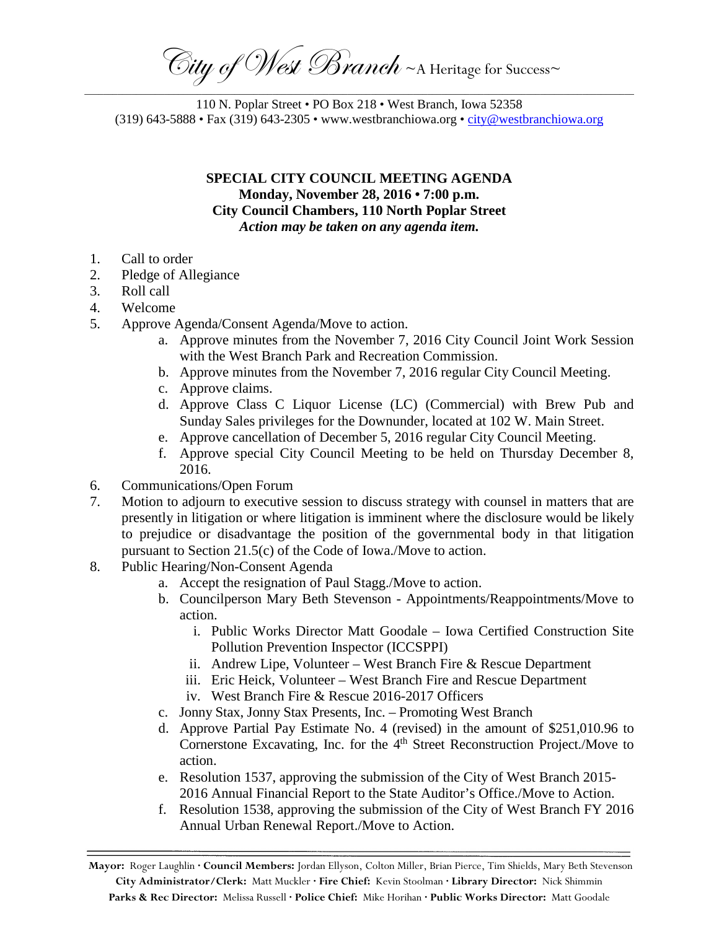$\widehat{\mathbb{C}}$ ity of West Branch ~A Heritage for Success~ \_\_\_\_\_\_\_\_\_\_\_\_\_\_\_\_\_\_\_\_\_\_\_\_\_\_\_\_\_\_\_\_\_\_\_\_\_\_\_\_\_\_\_\_\_\_\_\_\_\_\_\_\_\_\_\_\_\_\_\_\_\_\_\_\_\_\_\_\_\_\_\_\_\_\_\_\_\_\_\_\_\_\_\_\_\_\_\_\_\_\_\_\_\_\_\_\_\_\_\_\_\_\_\_\_\_\_\_\_\_\_\_\_\_\_\_\_

110 N. Poplar Street • PO Box 218 • West Branch, Iowa 52358 (319) 643-5888 • Fax (319) 643-2305 • www.westbranchiowa.org •  $\underline{city@westbranchiowa.org}$ 

> **SPECIAL CITY COUNCIL MEETING AGENDA Monday, November 28, 2016 • 7:00 p.m. City Council Chambers, 110 North Poplar Street** *Action may be taken on any agenda item.*

- 1. Call to order
- 2. Pledge of Allegiance
- 3. Roll call
- 4. Welcome
- 5. Approve Agenda/Consent Agenda/Move to action.
	- a. Approve minutes from the November 7, 2016 City Council Joint Work Session with the West Branch Park and Recreation Commission.
	- b. Approve minutes from the November 7, 2016 regular City Council Meeting.
	- c. Approve claims.
	- d. Approve Class C Liquor License (LC) (Commercial) with Brew Pub and Sunday Sales privileges for the Downunder, located at 102 W. Main Street.
	- e. Approve cancellation of December 5, 2016 regular City Council Meeting.
	- f. Approve special City Council Meeting to be held on Thursday December 8, 2016.
- 6. Communications/Open Forum
- 7. Motion to adjourn to executive session to discuss strategy with counsel in matters that are presently in litigation or where litigation is imminent where the disclosure would be likely to prejudice or disadvantage the position of the governmental body in that litigation pursuant to Section 21.5(c) of the Code of Iowa./Move to action.
- 8. Public Hearing/Non-Consent Agenda
	- a. Accept the resignation of Paul Stagg./Move to action.
	- b. Councilperson Mary Beth Stevenson Appointments/Reappointments/Move to action.
		- i. Public Works Director Matt Goodale Iowa Certified Construction Site Pollution Prevention Inspector (ICCSPPI)
		- ii. Andrew Lipe, Volunteer West Branch Fire & Rescue Department
		- iii. Eric Heick, Volunteer West Branch Fire and Rescue Department
		- iv. West Branch Fire & Rescue 2016-2017 Officers
	- c. Jonny Stax, Jonny Stax Presents, Inc. Promoting West Branch
	- d. Approve Partial Pay Estimate No. 4 (revised) in the amount of \$251,010.96 to Cornerstone Excavating, Inc. for the  $4<sup>th</sup>$  Street Reconstruction Project./Move to action.
	- e. Resolution 1537, approving the submission of the City of West Branch 2015- 2016 Annual Financial Report to the State Auditor's Office./Move to Action.
	- f. Resolution 1538, approving the submission of the City of West Branch FY 2016 Annual Urban Renewal Report./Move to Action.

**Mayor:** Roger Laughlin **· Council Members:** Jordan Ellyson, Colton Miller, Brian Pierce, Tim Shields, Mary Beth Stevenson **City Administrator/Clerk:** Matt Muckler **· Fire Chief:** Kevin Stoolman **· Library Director:** Nick Shimmin **Parks & Rec Director:** Melissa Russell **· Police Chief:** Mike Horihan **· Public Works Director:** Matt Goodale